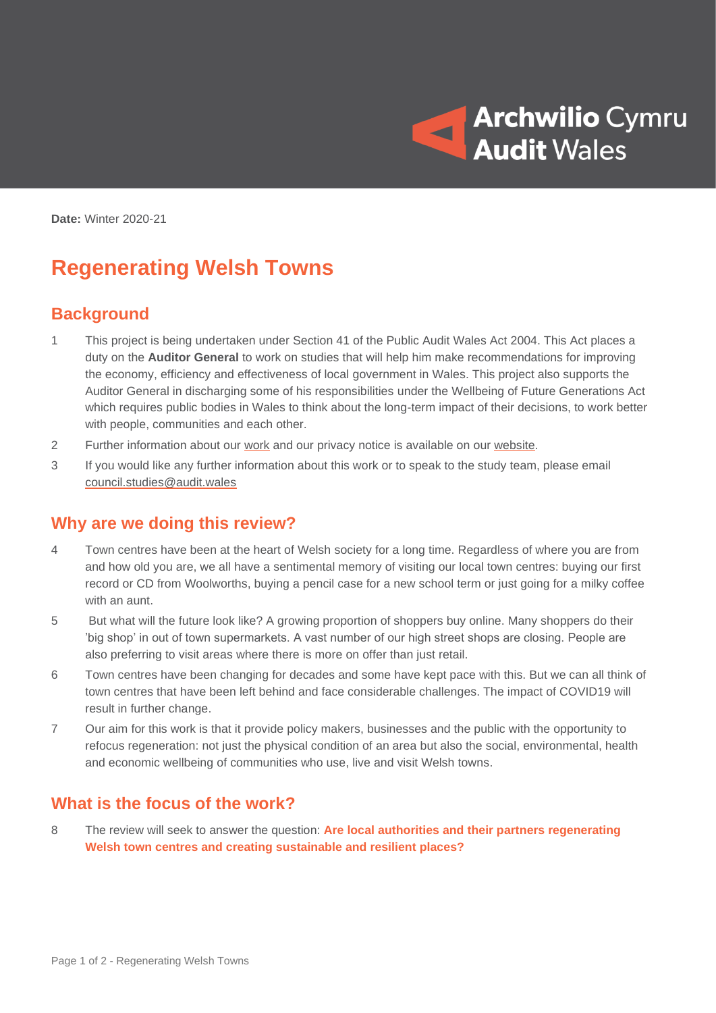

**Date:** Winter 2020-21

# **Regenerating Welsh Towns**

## **Background**

- 1 This project is being undertaken under Section 41 of the Public Audit Wales Act 2004. This Act places a duty on the **Auditor General** to work on studies that will help him make recommendations for improving the economy, efficiency and effectiveness of local government in Wales. This project also supports the Auditor General in discharging some of his responsibilities under the Wellbeing of Future Generations Act which requires public bodies in Wales to think about the long-term impact of their decisions, to work better with people, communities and each other.
- 2 Further information about our [work](https://audit.wales/about-us/auditor-general-wales) and our privacy notice is available on our [website.](https://audit.wales/)
- 3 If you would like any further information about this work or to speak to the study team, please email [council.studies@audit.wales](mailto:council.studies@audit.wales)

#### **Why are we doing this review?**

- 4 Town centres have been at the heart of Welsh society for a long time. Regardless of where you are from and how old you are, we all have a sentimental memory of visiting our local town centres: buying our first record or CD from Woolworths, buying a pencil case for a new school term or just going for a milky coffee with an aunt.
- 5 But what will the future look like? A growing proportion of shoppers buy online. Many shoppers do their 'big shop' in out of town supermarkets. A vast number of our high street shops are closing. People are also preferring to visit areas where there is more on offer than just retail.
- 6 Town centres have been changing for decades and some have kept pace with this. But we can all think of town centres that have been left behind and face considerable challenges. The impact of COVID19 will result in further change.
- 7 Our aim for this work is that it provide policy makers, businesses and the public with the opportunity to refocus regeneration: not just the physical condition of an area but also the social, environmental, health and economic wellbeing of communities who use, live and visit Welsh towns.

#### **What is the focus of the work?**

8 The review will seek to answer the question: **Are local authorities and their partners regenerating Welsh town centres and creating sustainable and resilient places?**